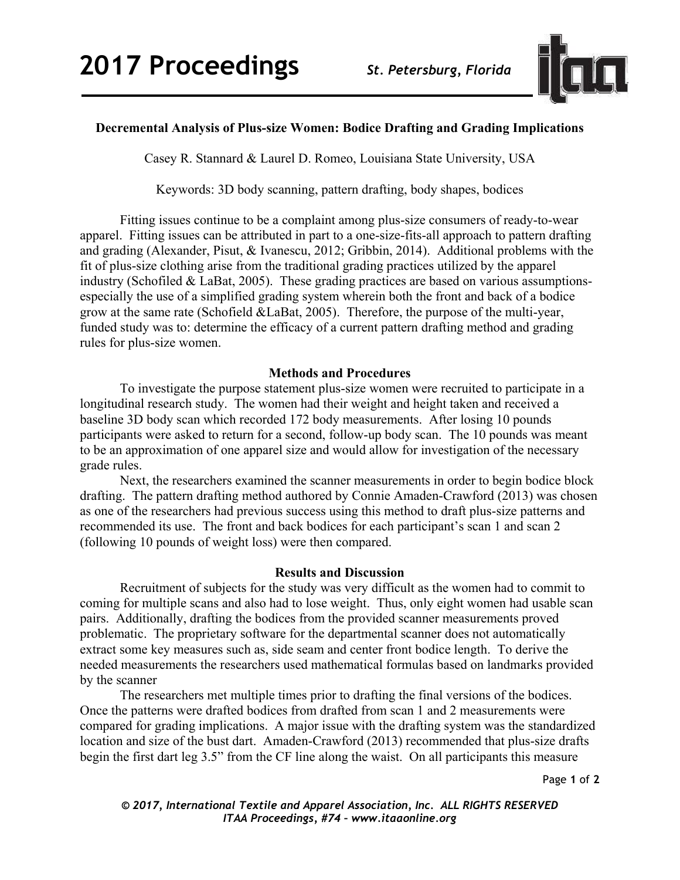

# **Decremental Analysis of Plus-size Women: Bodice Drafting and Grading Implications**

Casey R. Stannard & Laurel D. Romeo, Louisiana State University, USA

Keywords: 3D body scanning, pattern drafting, body shapes, bodices

 Fitting issues continue to be a complaint among plus-size consumers of ready-to-wear apparel. Fitting issues can be attributed in part to a one-size-fits-all approach to pattern drafting and grading (Alexander, Pisut, & Ivanescu, 2012; Gribbin, 2014). Additional problems with the fit of plus-size clothing arise from the traditional grading practices utilized by the apparel industry (Schofiled & LaBat, 2005). These grading practices are based on various assumptionsespecially the use of a simplified grading system wherein both the front and back of a bodice grow at the same rate (Schofield &LaBat, 2005). Therefore, the purpose of the multi-year, funded study was to: determine the efficacy of a current pattern drafting method and grading rules for plus-size women.

## **Methods and Procedures**

To investigate the purpose statement plus-size women were recruited to participate in a longitudinal research study. The women had their weight and height taken and received a baseline 3D body scan which recorded 172 body measurements. After losing 10 pounds participants were asked to return for a second, follow-up body scan. The 10 pounds was meant to be an approximation of one apparel size and would allow for investigation of the necessary grade rules.

 Next, the researchers examined the scanner measurements in order to begin bodice block drafting. The pattern drafting method authored by Connie Amaden-Crawford (2013) was chosen as one of the researchers had previous success using this method to draft plus-size patterns and recommended its use. The front and back bodices for each participant's scan 1 and scan 2 (following 10 pounds of weight loss) were then compared.

## **Results and Discussion**

 Recruitment of subjects for the study was very difficult as the women had to commit to coming for multiple scans and also had to lose weight. Thus, only eight women had usable scan pairs. Additionally, drafting the bodices from the provided scanner measurements proved problematic. The proprietary software for the departmental scanner does not automatically extract some key measures such as, side seam and center front bodice length. To derive the needed measurements the researchers used mathematical formulas based on landmarks provided by the scanner

 The researchers met multiple times prior to drafting the final versions of the bodices. Once the patterns were drafted bodices from drafted from scan 1 and 2 measurements were compared for grading implications. A major issue with the drafting system was the standardized location and size of the bust dart. Amaden-Crawford (2013) recommended that plus-size drafts begin the first dart leg 3.5" from the CF line along the waist. On all participants this measure

Page **1** of **2** 

*© 2017, International Textile and Apparel Association, Inc. ALL RIGHTS RESERVED ITAA Proceedings, #74 – www.itaaonline.org*